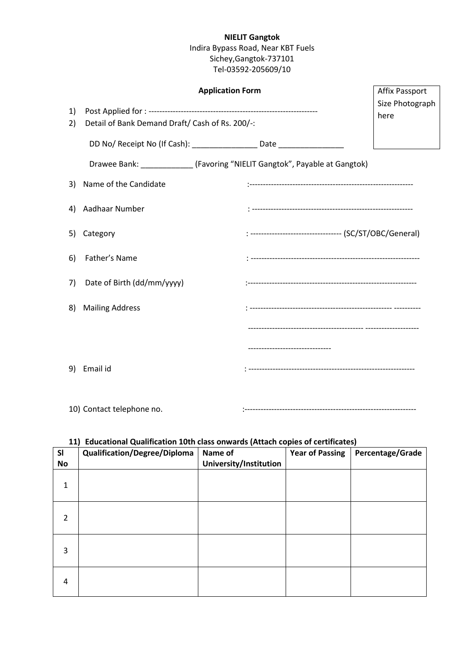# **NIELIT Gangtok**

## Indira Bypass Road, Near KBT Fuels Sichey,Gangtok-737101 Tel-03592-205609/10

|          | <b>Application Form</b>                                                          |                                                          | <b>Affix Passport</b>   |
|----------|----------------------------------------------------------------------------------|----------------------------------------------------------|-------------------------|
| 1)<br>2) | Detail of Bank Demand Draft/ Cash of Rs. 200/-:                                  |                                                          | Size Photograph<br>here |
|          | DD No/ Receipt No (If Cash): ____________________ Date _________________________ |                                                          |                         |
|          | Drawee Bank: ______________(Favoring "NIELIT Gangtok", Payable at Gangtok)       |                                                          |                         |
| 3)       | Name of the Candidate                                                            |                                                          |                         |
| 4)       | Aadhaar Number                                                                   |                                                          |                         |
| 5)       | Category                                                                         | : ---------------------------------- (SC/ST/OBC/General) |                         |
| 6)       | Father's Name                                                                    |                                                          |                         |
| 7)       | Date of Birth (dd/mm/yyyy)                                                       |                                                          |                         |
| 8)       | <b>Mailing Address</b>                                                           |                                                          |                         |
|          |                                                                                  |                                                          |                         |
|          |                                                                                  | ---------------------------                              |                         |
| 9)       | Email id                                                                         |                                                          |                         |
|          |                                                                                  |                                                          |                         |

10) Contact telephone no. :----------------------------------------------------------------

#### **11) Educational Qualification 10th class onwards (Attach copies of certificates)**

| <b>SI</b>    | <b>Qualification/Degree/Diploma</b> | Name of                | <b>Year of Passing</b> | Percentage/Grade |
|--------------|-------------------------------------|------------------------|------------------------|------------------|
| <b>No</b>    |                                     | University/Institution |                        |                  |
| $\mathbf{1}$ |                                     |                        |                        |                  |
| 2            |                                     |                        |                        |                  |
| 3            |                                     |                        |                        |                  |
| 4            |                                     |                        |                        |                  |